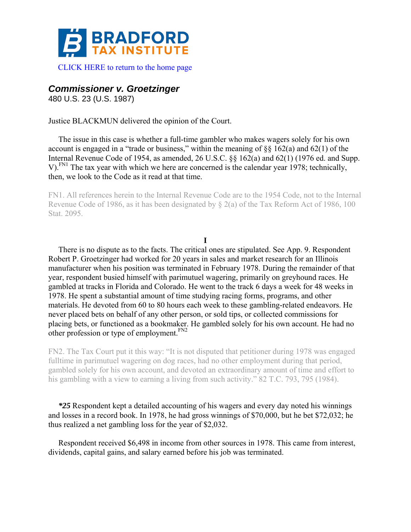

## *Commissioner v. Groetzinger*

480 U.S. 23 (U.S. 1987)

Justice BLACKMUN delivered the opinion of the Court.

The issue in this case is whether a full-time gambler who makes wagers solely for his own account is engaged in a "trade or business," within the meaning of  $\S$ § 162(a) and 62(1) of the Internal Revenue Code of 1954, as amended, 26 U.S.C. §§ 162(a) and 62(1) (1976 ed. and Supp. V).FN1 The tax year with which we here are concerned is the calendar year 1978; technically, then, we look to the Code as it read at that time.

FN1. All references herein to the Internal Revenue Code are to the 1954 Code, not to the Internal Revenue Code of 1986, as it has been designated by § 2(a) of the Tax Reform Act of 1986, 100 Stat. 2095.

**I** 

There is no dispute as to the facts. The critical ones are stipulated. See App. 9. Respondent Robert P. Groetzinger had worked for 20 years in sales and market research for an Illinois manufacturer when his position was terminated in February 1978. During the remainder of that year, respondent busied himself with parimutuel wagering, primarily on greyhound races. He gambled at tracks in Florida and Colorado. He went to the track 6 days a week for 48 weeks in 1978. He spent a substantial amount of time studying racing forms, programs, and other materials. He devoted from 60 to 80 hours each week to these gambling-related endeavors. He never placed bets on behalf of any other person, or sold tips, or collected commissions for placing bets, or functioned as a bookmaker. He gambled solely for his own account. He had no other profession or type of employment.<sup>FN2</sup>

FN2. The Tax Court put it this way: "It is not disputed that petitioner during 1978 was engaged fulltime in parimutuel wagering on dog races, had no other employment during that period, gambled solely for his own account, and devoted an extraordinary amount of time and effort to his gambling with a view to earning a living from such activity." 82 T.C. 793, 795 (1984).

*\*25* Respondent kept a detailed accounting of his wagers and every day noted his winnings and losses in a record book. In 1978, he had gross winnings of \$70,000, but he bet \$72,032; he thus realized a net gambling loss for the year of \$2,032.

Respondent received \$6,498 in income from other sources in 1978. This came from interest, dividends, capital gains, and salary earned before his job was terminated.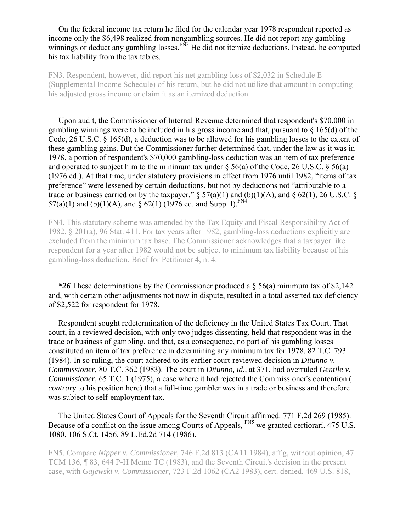On the federal income tax return he filed for the calendar year 1978 respondent reported as income only the \$6,498 realized from nongambling sources. He did not report any gambling winnings or deduct any gambling losses.<sup>FN3</sup> He did not itemize deductions. Instead, he computed his tax liability from the tax tables.

FN3. Respondent, however, did report his net gambling loss of \$2,032 in Schedule E (Supplemental Income Schedule) of his return, but he did not utilize that amount in computing his adjusted gross income or claim it as an itemized deduction.

Upon audit, the Commissioner of Internal Revenue determined that respondent's \$70,000 in gambling winnings were to be included in his gross income and that, pursuant to § 165(d) of the Code, 26 U.S.C. § 165(d), a deduction was to be allowed for his gambling losses to the extent of these gambling gains. But the Commissioner further determined that, under the law as it was in 1978, a portion of respondent's \$70,000 gambling-loss deduction was an item of tax preference and operated to subject him to the minimum tax under  $\S 56(a)$  of the Code, 26 U.S.C.  $\S 56(a)$ (1976 ed.). At that time, under statutory provisions in effect from 1976 until 1982, "items of tax preference" were lessened by certain deductions, but not by deductions not "attributable to a trade or business carried on by the taxpayer."  $\S 57(a)(1)$  and  $(b)(1)(A)$ , and  $\S 62(1)$ , 26 U.S.C.  $\S$ 57(a)(1) and (b)(1)(A), and § 62(1) (1976 ed. and Supp. I).<sup>*FN4*</sup>

FN4. This statutory scheme was amended by the Tax Equity and Fiscal Responsibility Act of 1982, § 201(a), 96 Stat. 411. For tax years after 1982, gambling-loss deductions explicitly are excluded from the minimum tax base. The Commissioner acknowledges that a taxpayer like respondent for a year after 1982 would not be subject to minimum tax liability because of his gambling-loss deduction. Brief for Petitioner 4, n. 4.

*\*26* These determinations by the Commissioner produced a § 56(a) minimum tax of \$2,142 and, with certain other adjustments not now in dispute, resulted in a total asserted tax deficiency of \$2,522 for respondent for 1978.

Respondent sought redetermination of the deficiency in the United States Tax Court. That court, in a reviewed decision, with only two judges dissenting, held that respondent was in the trade or business of gambling, and that, as a consequence, no part of his gambling losses constituted an item of tax preference in determining any minimum tax for 1978. 82 T.C. 793 (1984). In so ruling, the court adhered to its earlier court-reviewed decision in *Ditunno v. Commissioner,* 80 T.C. 362 (1983). The court in *Ditunno, id.,* at 371, had overruled *Gentile v. Commissioner,* 65 T.C. 1 (1975), a case where it had rejected the Commissioner's contention ( *contrary* to his position here) that a full-time gambler *was* in a trade or business and therefore was subject to self-employment tax.

The United States Court of Appeals for the Seventh Circuit affirmed. 771 F.2d 269 (1985). Because of a conflict on the issue among Courts of Appeals, <sup>FN5</sup> we granted certiorari. 475 U.S. 1080, 106 S.Ct. 1456, 89 L.Ed.2d 714 (1986).

FN5. Compare *Nipper v. Commissioner,* 746 F.2d 813 (CA11 1984), aff'g, without opinion, 47 TCM 136, ¶ 83, 644 P-H Memo TC (1983), and the Seventh Circuit's decision in the present case, with *Gajewski v. Commissioner,* 723 F.2d 1062 (CA2 1983), cert. denied, 469 U.S. 818,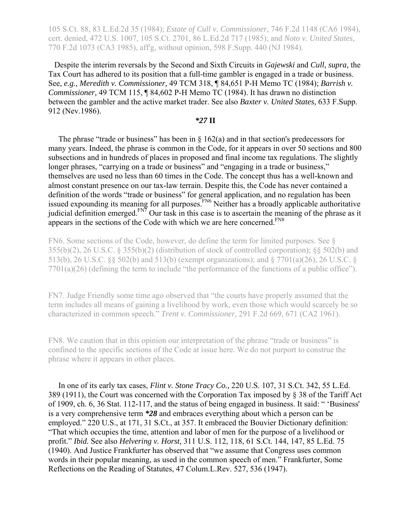105 S.Ct. 88, 83 L.Ed.2d 35 (1984); *Estate of Cull v. Commissioner,* 746 F.2d 1148 (CA6 1984), cert. denied, 472 U.S. 1007, 105 S.Ct. 2701, 86 L.Ed.2d 717 (1985); and *Noto v. United States,* 770 F.2d 1073 (CA3 1985), aff'g, without opinion, 598 F.Supp. 440 (NJ 1984).

Despite the interim reversals by the Second and Sixth Circuits in *Gajewski* and *Cull, supra,* the Tax Court has adhered to its position that a full-time gambler is engaged in a trade or business. See, *e.g., Meredith v. Commissioner,* 49 TCM 318, ¶ 84,651 P-H Memo TC (1984); *Barrish v. Commissioner,* 49 TCM 115, ¶ 84,602 P-H Memo TC (1984). It has drawn no distinction between the gambler and the active market trader. See also *Baxter v. United States,* 633 F.Supp. 912 (Nev.1986).

## *\*27* **II**

The phrase "trade or business" has been in  $\S$  162(a) and in that section's predecessors for many years. Indeed, the phrase is common in the Code, for it appears in over 50 sections and 800 subsections and in hundreds of places in proposed and final income tax regulations. The slightly longer phrases, "carrying on a trade or business" and "engaging in a trade or business," themselves are used no less than 60 times in the Code. The concept thus has a well-known and almost constant presence on our tax-law terrain. Despite this, the Code has never contained a definition of the words "trade or business" for general application, and no regulation has been issued expounding its meaning for all purposes. FN6 Neither has a broadly applicable authoritative judicial definition emerged.FN7 Our task in this case is to ascertain the meaning of the phrase as it appears in the sections of the Code with which we are here concerned.<sup>FN8</sup>

FN6. Some sections of the Code, however, do define the term for limited purposes. See § 355(b)(2), 26 U.S.C. § 355(b)(2) (distribution of stock of controlled corporation); §§ 502(b) and 513(b), 26 U.S.C. §§ 502(b) and 513(b) (exempt organizations); and § 7701(a)(26), 26 U.S.C. § 7701(a)(26) (defining the term to include "the performance of the functions of a public office").

FN7. Judge Friendly some time ago observed that "the courts have properly assumed that the term includes all means of gaining a livelihood by work, even those which would scarcely be so characterized in common speech." *Trent v. Commissioner,* 291 F.2d 669, 671 (CA2 1961).

FN8. We caution that in this opinion our interpretation of the phrase "trade or business" is confined to the specific sections of the Code at issue here. We do not purport to construe the phrase where it appears in other places.

In one of its early tax cases, *Flint v. Stone Tracy Co.,* 220 U.S. 107, 31 S.Ct. 342, 55 L.Ed. 389 (1911), the Court was concerned with the Corporation Tax imposed by § 38 of the Tariff Act of 1909, ch. 6, 36 Stat. 112-117, and the status of being engaged in business. It said: " 'Business' is a very comprehensive term *\*28* and embraces everything about which a person can be employed." 220 U.S., at 171, 31 S.Ct., at 357. It embraced the Bouvier Dictionary definition: "That which occupies the time, attention and labor of men for the purpose of a livelihood or profit." *Ibid.* See also *Helvering v. Horst,* 311 U.S. 112, 118, 61 S.Ct. 144, 147, 85 L.Ed. 75 (1940). And Justice Frankfurter has observed that "we assume that Congress uses common words in their popular meaning, as used in the common speech of men." Frankfurter, Some Reflections on the Reading of Statutes, 47 Colum.L.Rev. 527, 536 (1947).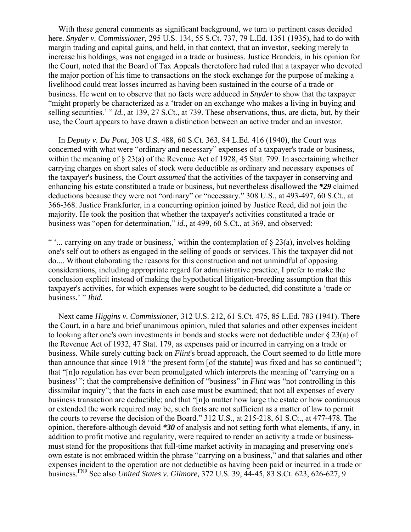With these general comments as significant background, we turn to pertinent cases decided here. *Snyder v. Commissioner,* 295 U.S. 134, 55 S.Ct. 737, 79 L.Ed. 1351 (1935), had to do with margin trading and capital gains, and held, in that context, that an investor, seeking merely to increase his holdings, was not engaged in a trade or business. Justice Brandeis, in his opinion for the Court, noted that the Board of Tax Appeals theretofore had ruled that a taxpayer who devoted the major portion of his time to transactions on the stock exchange for the purpose of making a livelihood could treat losses incurred as having been sustained in the course of a trade or business. He went on to observe that no facts were adduced in *Snyder* to show that the taxpayer "might properly be characterized as a 'trader on an exchange who makes a living in buying and selling securities.' " *Id.,* at 139, 27 S.Ct., at 739. These observations, thus, are dicta, but, by their use, the Court appears to have drawn a distinction between an active trader and an investor.

In *Deputy v. Du Pont,* 308 U.S. 488, 60 S.Ct. 363, 84 L.Ed. 416 (1940), the Court was concerned with what were "ordinary and necessary" expenses of a taxpayer's trade or business, within the meaning of § 23(a) of the Revenue Act of 1928, 45 Stat. 799. In ascertaining whether carrying charges on short sales of stock were deductible as ordinary and necessary expenses of the taxpayer's business, the Court *assumed* that the activities of the taxpayer in conserving and enhancing his estate constituted a trade or business, but nevertheless disallowed the *\*29* claimed deductions because they were not "ordinary" or "necessary." 308 U.S., at 493-497, 60 S.Ct., at 366-368. Justice Frankfurter, in a concurring opinion joined by Justice Reed, did not join the majority. He took the position that whether the taxpayer's activities constituted a trade or business was "open for determination," *id.,* at 499, 60 S.Ct., at 369, and observed:

" "... carrying on any trade or business," within the contemplation of  $\S 23(a)$ , involves holding one's self out to others as engaged in the selling of goods or services. This the taxpayer did not do.... Without elaborating the reasons for this construction and not unmindful of opposing considerations, including appropriate regard for administrative practice, I prefer to make the conclusion explicit instead of making the hypothetical litigation-breeding assumption that this taxpayer's activities, for which expenses were sought to be deducted, did constitute a 'trade or business.' " *Ibid.*

Next came *Higgins v. Commissioner,* 312 U.S. 212, 61 S.Ct. 475, 85 L.Ed. 783 (1941). There the Court, in a bare and brief unanimous opinion, ruled that salaries and other expenses incident to looking after one's own investments in bonds and stocks were not deductible under § 23(a) of the Revenue Act of 1932, 47 Stat. 179, as expenses paid or incurred in carrying on a trade or business. While surely cutting back on *Flint*'s broad approach, the Court seemed to do little more than announce that since 1918 "the present form [of the statute] was fixed and has so continued"; that "[n]o regulation has ever been promulgated which interprets the meaning of 'carrying on a business' "; that the comprehensive definition of "business" in *Flint* was "not controlling in this dissimilar inquiry"; that the facts in each case must be examined; that not all expenses of every business transaction are deductible; and that "[n]o matter how large the estate or how continuous or extended the work required may be, such facts are not sufficient as a matter of law to permit the courts to reverse the decision of the Board." 312 U.S., at 215-218, 61 S.Ct., at 477-478. The opinion, therefore-although devoid *\*30* of analysis and not setting forth what elements, if any, in addition to profit motive and regularity, were required to render an activity a trade or businessmust stand for the propositions that full-time market activity in managing and preserving one's own estate is not embraced within the phrase "carrying on a business," and that salaries and other expenses incident to the operation are not deductible as having been paid or incurred in a trade or business.FN9 See also *United States v. Gilmore,* 372 U.S. 39, 44-45, 83 S.Ct. 623, 626-627, 9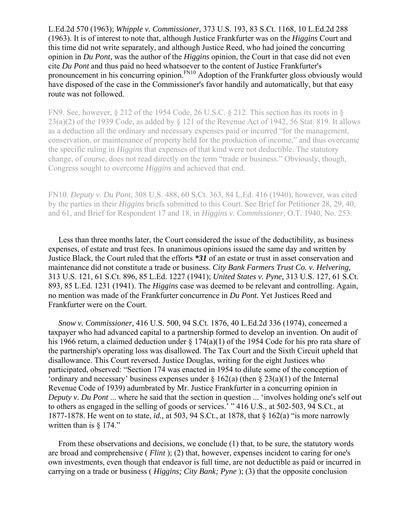L.Ed.2d 570 (1963); *Whipple v. Commissioner,* 373 U.S. 193, 83 S.Ct. 1168, 10 L.Ed.2d 288 (1963). It is of interest to note that, although Justice Frankfurter was on the *Higgins* Court and this time did not write separately, and although Justice Reed, who had joined the concurring opinion in *Du Pont,* was the author of the *Higgins* opinion, the Court in that case did not even cite *Du Pont* and thus paid no heed whatsoever to the content of Justice Frankfurter's pronouncement in his concurring opinion.<sup>FN10</sup> Adoption of the Frankfurter gloss obviously would have disposed of the case in the Commissioner's favor handily and automatically, but that easy route was not followed.

FN9. See, however, § 212 of the 1954 Code, 26 U.S.C. § 212. This section has its roots in § 23(a)(2) of the 1939 Code, as added by § 121 of the Revenue Act of 1942, 56 Stat. 819. It allows as a deduction all the ordinary and necessary expenses paid or incurred "for the management, conservation, or maintenance of property held for the production of income," and thus overcame the specific ruling in *Higgins* that expenses of that kind were not deductible. The statutory change, of course, does not read directly on the term "trade or business." Obviously, though, Congress sought to overcome *Higgins* and achieved that end.

FN10. *Deputy v. Du Pont,* 308 U.S. 488, 60 S.Ct. 363, 84 L.Ed. 416 (1940), however, was cited by the parties in their *Higgins* briefs submitted to this Court. See Brief for Petitioner 28, 29, 40, and 61, and Brief for Respondent 17 and 18, in *Higgins v. Commissioner,* O.T. 1940, No. 253.

Less than three months later, the Court considered the issue of the deductibility, as business expenses, of estate and trust fees. In unanimous opinions issued the same day and written by Justice Black, the Court ruled that the efforts *\*31* of an estate or trust in asset conservation and maintenance did not constitute a trade or business. *City Bank Farmers Trust Co. v. Helvering,* 313 U.S. 121, 61 S.Ct. 896, 85 L.Ed. 1227 (1941); *United States v. Pyne,* 313 U.S. 127, 61 S.Ct. 893, 85 L.Ed. 1231 (1941). The *Higgins* case was deemed to be relevant and controlling. Again, no mention was made of the Frankfurter concurrence in *Du Pont.* Yet Justices Reed and Frankfurter were on the Court.

*Snow v. Commissioner,* 416 U.S. 500, 94 S.Ct. 1876, 40 L.Ed.2d 336 (1974), concerned a taxpayer who had advanced capital to a partnership formed to develop an invention. On audit of his 1966 return, a claimed deduction under § 174(a)(1) of the 1954 Code for his pro rata share of the partnership's operating loss was disallowed. The Tax Court and the Sixth Circuit upheld that disallowance. This Court reversed. Justice Douglas, writing for the eight Justices who participated, observed: "Section 174 was enacted in 1954 to dilute some of the conception of 'ordinary and necessary' business expenses under  $\S$  162(a) (then  $\S$  23(a)(1) of the Internal Revenue Code of 1939) adumbrated by Mr. Justice Frankfurter in a concurring opinion in *Deputy v. Du Pont* ... where he said that the section in question ... 'involves holding one's self out to others as engaged in the selling of goods or services.' " 416 U.S., at 502-503, 94 S.Ct., at 1877-1878. He went on to state, *id.,* at 503, 94 S.Ct., at 1878, that § 162(a) "is more narrowly written than is § 174."

From these observations and decisions, we conclude (1) that, to be sure, the statutory words are broad and comprehensive ( *Flint* ); (2) that, however, expenses incident to caring for one's own investments, even though that endeavor is full time, are not deductible as paid or incurred in carrying on a trade or business ( *Higgins; City Bank; Pyne* ); (3) that the opposite conclusion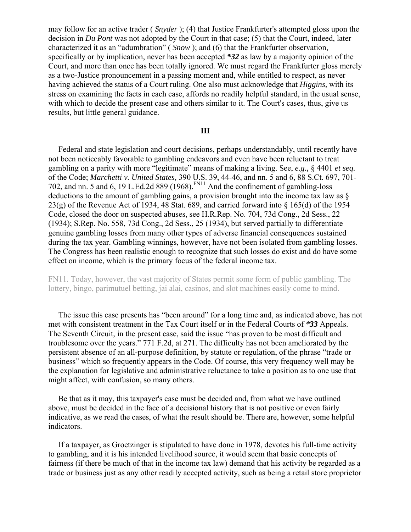may follow for an active trader ( *Snyder* ); (4) that Justice Frankfurter's attempted gloss upon the decision in *Du Pont* was not adopted by the Court in that case; (5) that the Court, indeed, later characterized it as an "adumbration" ( *Snow* ); and (6) that the Frankfurter observation, specifically or by implication, never has been accepted *\*32* as law by a majority opinion of the Court, and more than once has been totally ignored. We must regard the Frankfurter gloss merely as a two-Justice pronouncement in a passing moment and, while entitled to respect, as never having achieved the status of a Court ruling. One also must acknowledge that *Higgins,* with its stress on examining the facts in each case, affords no readily helpful standard, in the usual sense, with which to decide the present case and others similar to it. The Court's cases, thus, give us results, but little general guidance.

## **III**

Federal and state legislation and court decisions, perhaps understandably, until recently have not been noticeably favorable to gambling endeavors and even have been reluctant to treat gambling on a parity with more "legitimate" means of making a living. See, *e.g.,* § 4401 *et seq.* of the Code; *Marchetti v. United States,* 390 U.S. 39, 44-46, and nn. 5 and 6, 88 S.Ct. 697, 701- 702, and nn. 5 and 6, 19 L.Ed.2d 889 (1968).<sup>FN11</sup> And the confinement of gambling-loss deductions to the amount of gambling gains, a provision brought into the income tax law as §  $23(g)$  of the Revenue Act of 1934, 48 Stat. 689, and carried forward into  $\S$  165(d) of the 1954 Code, closed the door on suspected abuses, see H.R.Rep. No. 704, 73d Cong., 2d Sess., 22 (1934); S.Rep. No. 558, 73d Cong., 2d Sess., 25 (1934), but served partially to differentiate genuine gambling losses from many other types of adverse financial consequences sustained during the tax year. Gambling winnings, however, have not been isolated from gambling losses. The Congress has been realistic enough to recognize that such losses do exist and do have some effect on income, which is the primary focus of the federal income tax.

FN11. Today, however, the vast majority of States permit some form of public gambling. The lottery, bingo, parimutuel betting, jai alai, casinos, and slot machines easily come to mind.

The issue this case presents has "been around" for a long time and, as indicated above, has not met with consistent treatment in the Tax Court itself or in the Federal Courts of *\*33* Appeals. The Seventh Circuit, in the present case, said the issue "has proven to be most difficult and troublesome over the years." 771 F.2d, at 271. The difficulty has not been ameliorated by the persistent absence of an all-purpose definition, by statute or regulation, of the phrase "trade or business" which so frequently appears in the Code. Of course, this very frequency well may be the explanation for legislative and administrative reluctance to take a position as to one use that might affect, with confusion, so many others.

Be that as it may, this taxpayer's case must be decided and, from what we have outlined above, must be decided in the face of a decisional history that is not positive or even fairly indicative, as we read the cases, of what the result should be. There are, however, some helpful indicators.

If a taxpayer, as Groetzinger is stipulated to have done in 1978, devotes his full-time activity to gambling, and it is his intended livelihood source, it would seem that basic concepts of fairness (if there be much of that in the income tax law) demand that his activity be regarded as a trade or business just as any other readily accepted activity, such as being a retail store proprietor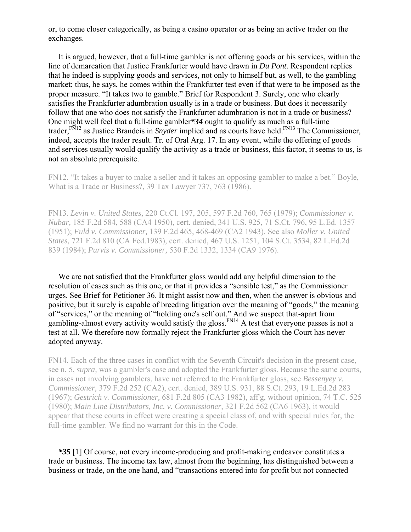or, to come closer categorically, as being a casino operator or as being an active trader on the exchanges.

It is argued, however, that a full-time gambler is not offering goods or his services, within the line of demarcation that Justice Frankfurter would have drawn in *Du Pont.* Respondent replies that he indeed is supplying goods and services, not only to himself but, as well, to the gambling market; thus, he says, he comes within the Frankfurter test even if that were to be imposed as the proper measure. "It takes two to gamble." Brief for Respondent 3. Surely, one who clearly satisfies the Frankfurter adumbration usually is in a trade or business. But does it necessarily follow that one who does not satisfy the Frankfurter adumbration is not in a trade or business? One might well feel that a full-time gambler*\*34* ought to qualify as much as a full-time trader,FN12 as Justice Brandeis in *Snyder* implied and as courts have held.FN13 The Commissioner, indeed, accepts the trader result. Tr. of Oral Arg. 17. In any event, while the offering of goods and services usually would qualify the activity as a trade or business, this factor, it seems to us, is not an absolute prerequisite.

FN12. "It takes a buyer to make a seller and it takes an opposing gambler to make a bet." Boyle, What is a Trade or Business?, 39 Tax Lawyer 737, 763 (1986).

FN13. *Levin v. United States,* 220 Ct.Cl. 197, 205, 597 F.2d 760, 765 (1979); *Commissioner v. Nubar,* 185 F.2d 584, 588 (CA4 1950), cert. denied, 341 U.S. 925, 71 S.Ct. 796, 95 L.Ed. 1357 (1951); *Fuld v. Commissioner,* 139 F.2d 465, 468-469 (CA2 1943). See also *Moller v. United States,* 721 F.2d 810 (CA Fed.1983), cert. denied, 467 U.S. 1251, 104 S.Ct. 3534, 82 L.Ed.2d 839 (1984); *Purvis v. Commissioner,* 530 F.2d 1332, 1334 (CA9 1976).

We are not satisfied that the Frankfurter gloss would add any helpful dimension to the resolution of cases such as this one, or that it provides a "sensible test," as the Commissioner urges. See Brief for Petitioner 36. It might assist now and then, when the answer is obvious and positive, but it surely is capable of breeding litigation over the meaning of "goods," the meaning of "services," or the meaning of "holding one's self out." And we suspect that-apart from gambling-almost every activity would satisfy the gloss.<sup>FN14</sup> A test that everyone passes is not a test at all. We therefore now formally reject the Frankfurter gloss which the Court has never adopted anyway.

FN14. Each of the three cases in conflict with the Seventh Circuit's decision in the present case, see n. 5, *supra,* was a gambler's case and adopted the Frankfurter gloss. Because the same courts, in cases not involving gamblers, have not referred to the Frankfurter gloss, see *Bessenyey v. Commissioner,* 379 F.2d 252 (CA2), cert. denied, 389 U.S. 931, 88 S.Ct. 293, 19 L.Ed.2d 283 (1967); *Gestrich v. Commissioner,* 681 F.2d 805 (CA3 1982), aff'g, without opinion, 74 T.C. 525 (1980); *Main Line Distributors, Inc. v. Commissioner,* 321 F.2d 562 (CA6 1963), it would appear that these courts in effect were creating a special class of, and with special rules for, the full-time gambler. We find no warrant for this in the Code.

*\*35* [1] Of course, not every income-producing and profit-making endeavor constitutes a trade or business. The income tax law, almost from the beginning, has distinguished between a business or trade, on the one hand, and "transactions entered into for profit but not connected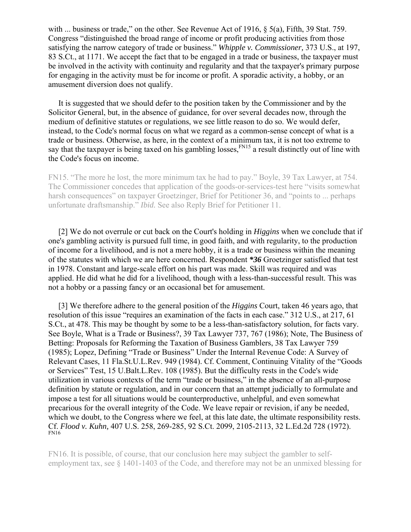with ... business or trade," on the other. See Revenue Act of 1916, § 5(a), Fifth, 39 Stat. 759. Congress "distinguished the broad range of income or profit producing activities from those satisfying the narrow category of trade or business." *Whipple v. Commissioner,* 373 U.S., at 197, 83 S.Ct., at 1171. We accept the fact that to be engaged in a trade or business, the taxpayer must be involved in the activity with continuity and regularity and that the taxpayer's primary purpose for engaging in the activity must be for income or profit. A sporadic activity, a hobby, or an amusement diversion does not qualify.

It is suggested that we should defer to the position taken by the Commissioner and by the Solicitor General, but, in the absence of guidance, for over several decades now, through the medium of definitive statutes or regulations, we see little reason to do so. We would defer, instead, to the Code's normal focus on what we regard as a common-sense concept of what is a trade or business. Otherwise, as here, in the context of a minimum tax, it is not too extreme to say that the taxpayer is being taxed on his gambling losses, <sup>FN15</sup> a result distinctly out of line with the Code's focus on income.

FN15. "The more he lost, the more minimum tax he had to pay." Boyle, 39 Tax Lawyer, at 754. The Commissioner concedes that application of the goods-or-services-test here "visits somewhat harsh consequences" on taxpayer Groetzinger, Brief for Petitioner 36, and "points to ... perhaps unfortunate draftsmanship." *Ibid.* See also Reply Brief for Petitioner 11.

[2] We do not overrule or cut back on the Court's holding in *Higgins* when we conclude that if one's gambling activity is pursued full time, in good faith, and with regularity, to the production of income for a livelihood, and is not a mere hobby, it is a trade or business within the meaning of the statutes with which we are here concerned. Respondent *\*36* Groetzinger satisfied that test in 1978. Constant and large-scale effort on his part was made. Skill was required and was applied. He did what he did for a livelihood, though with a less-than-successful result. This was not a hobby or a passing fancy or an occasional bet for amusement.

[3] We therefore adhere to the general position of the *Higgins* Court, taken 46 years ago, that resolution of this issue "requires an examination of the facts in each case." 312 U.S., at 217, 61 S.Ct., at 478. This may be thought by some to be a less-than-satisfactory solution, for facts vary. See Boyle, What is a Trade or Business?, 39 Tax Lawyer 737, 767 (1986); Note, The Business of Betting: Proposals for Reforming the Taxation of Business Gamblers, 38 Tax Lawyer 759 (1985); Lopez, Defining "Trade or Business" Under the Internal Revenue Code: A Survey of Relevant Cases, 11 Fla.St.U.L.Rev. 949 (1984). Cf. Comment, Continuing Vitality of the "Goods or Services" Test, 15 U.Balt.L.Rev. 108 (1985). But the difficulty rests in the Code's wide utilization in various contexts of the term "trade or business," in the absence of an all-purpose definition by statute or regulation, and in our concern that an attempt judicially to formulate and impose a test for all situations would be counterproductive, unhelpful, and even somewhat precarious for the overall integrity of the Code. We leave repair or revision, if any be needed, which we doubt, to the Congress where we feel, at this late date, the ultimate responsibility rests. Cf. *Flood v. Kuhn,* 407 U.S. 258, 269-285, 92 S.Ct. 2099, 2105-2113, 32 L.Ed.2d 728 (1972). FN16

FN16. It is possible, of course, that our conclusion here may subject the gambler to selfemployment tax, see § 1401-1403 of the Code, and therefore may not be an unmixed blessing for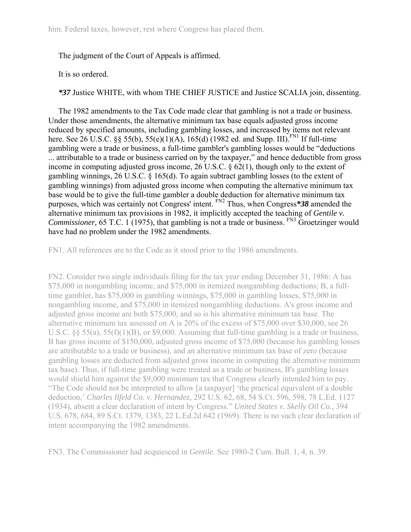The judgment of the Court of Appeals is affirmed.

It is so ordered.

*\*37* Justice WHITE, with whom THE CHIEF JUSTICE and Justice SCALIA join, dissenting.

The 1982 amendments to the Tax Code made clear that gambling is not a trade or business. Under those amendments, the alternative minimum tax base equals adjusted gross income reduced by specified amounts, including gambling losses, and increased by items not relevant here. See 26 U.S.C. §§ 55(b), 55(e)(1)(A), 165(d) (1982 ed. and Supp. III). FN1 If full-time gambling were a trade or business, a full-time gambler's gambling losses would be "deductions ... attributable to a trade or business carried on by the taxpayer," and hence deductible from gross income in computing adjusted gross income, 26 U.S.C. § 62(1), though only to the extent of gambling winnings, 26 U.S.C. § 165(d). To again subtract gambling losses (to the extent of gambling winnings) from adjusted gross income when computing the alternative minimum tax base would be to give the full-time gambler a double deduction for alternative minimum tax purposes, which was certainly not Congress' intent. FN2 Thus, when Congress*\*38* amended the alternative minimum tax provisions in 1982, it implicitly accepted the teaching of *Gentile v. Commissioner*, 65 T.C. 1 (1975), that gambling is not a trade or business. FN3 Groetzinger would have had no problem under the 1982 amendments.

FN1. All references are to the Code as it stood prior to the 1986 amendments.

FN2. Consider two single individuals filing for the tax year ending December 31, 1986: A has \$75,000 in nongambling income, and \$75,000 in itemized nongambling deductions; B, a fulltime gambler, has \$75,000 in gambling winnings, \$75,000 in gambling losses, \$75,000 in nongambling income, and \$75,000 in itemized nongambling deductions. A's gross income and adjusted gross income are both \$75,000, and so is his alternative minimum tax base. The alternative minimum tax assessed on A is 20% of the excess of \$75,000 over \$30,000, see 26 U.S.C. §§ 55(a), 55(f)(1)(B), or \$9,000. Assuming that full-time gambling is a trade or business, B has gross income of \$150,000, adjusted gross income of \$75,000 (because his gambling losses are attributable to a trade or business), and an alternative minimum tax base of zero (because gambling losses are deducted from adjusted gross income in computing the alternative minimum tax base). Thus, if full-time gambling were treated as a trade or business, B's gambling losses would shield him against the \$9,000 minimum tax that Congress clearly intended him to pay. "The Code should not be interpreted to allow [a taxpayer] 'the practical equivalent of a double deduction,' *Charles Ilfeld Co. v. Hernandez,* 292 U.S. 62, 68, 54 S.Ct. 596, 598, 78 L.Ed. 1127 (1934), absent a clear declaration of intent by Congress." *United States v. Skelly Oil Co.,* 394 U.S. 678, 684, 89 S.Ct. 1379, 1383, 22 L.Ed.2d 642 (1969). There is no such clear declaration of intent accompanying the 1982 amendments.

FN3. The Commissioner had acquiesced in *Gentile.* See 1980-2 Cum. Bull. 1, 4, n. 39.